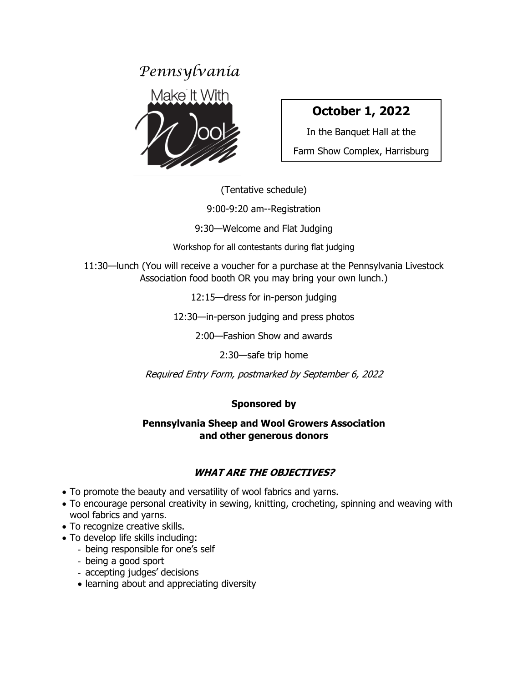

# **October 1, 2022**

In the Banquet Hall at the Farm Show Complex, Harrisburg

(Tentative schedule)

9:00-9:20 am--Registration

9:30—Welcome and Flat Judging

Workshop for all contestants during flat judging

11:30—lunch (You will receive a voucher for a purchase at the Pennsylvania Livestock Association food booth OR you may bring your own lunch.)

12:15—dress for in-person judging

12:30—in-person judging and press photos

2:00—Fashion Show and awards

2:30—safe trip home

Required Entry Form, postmarked by September 6, 2022

## **Sponsored by**

#### **Pennsylvania Sheep and Wool Growers Association and other generous donors**

# **WHAT ARE THE OBJECTIVES?**

- To promote the beauty and versatility of wool fabrics and yarns.
- To encourage personal creativity in sewing, knitting, crocheting, spinning and weaving with wool fabrics and yarns.
- To recognize creative skills.
- To develop life skills including:
	- being responsible for one's self
	- being a good sport
	- accepting judges' decisions
	- learning about and appreciating diversity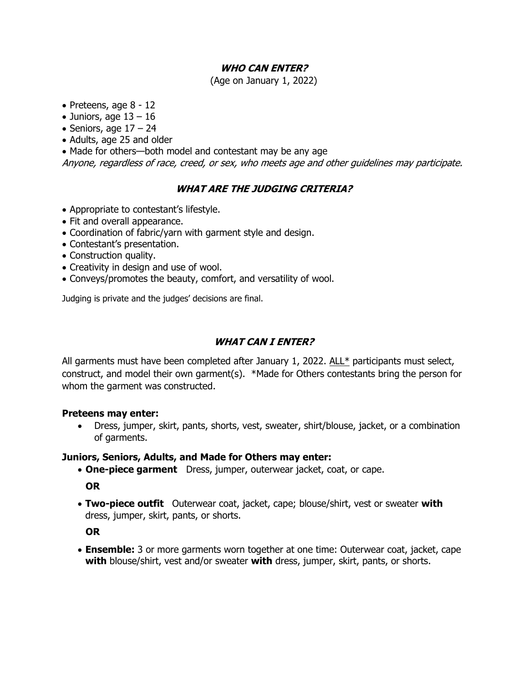#### **WHO CAN ENTER?**

(Age on January 1, 2022)

- Preteens, age 8 12
- Juniors, age  $13 16$
- Seniors, age  $17 24$
- Adults, age 25 and older
- Made for others—both model and contestant may be any age

Anyone, regardless of race, creed, or sex, who meets age and other guidelines may participate.

#### **WHAT ARE THE JUDGING CRITERIA?**

- Appropriate to contestant's lifestyle.
- Fit and overall appearance.
- Coordination of fabric/yarn with garment style and design.
- Contestant's presentation.
- Construction quality.
- Creativity in design and use of wool.
- Conveys/promotes the beauty, comfort, and versatility of wool.

Judging is private and the judges' decisions are final.

#### **WHAT CAN I ENTER?**

All garments must have been completed after January 1, 2022. ALL\* participants must select, construct, and model their own garment(s). \*Made for Others contestants bring the person for whom the garment was constructed.

#### **Preteens may enter:**

• Dress, jumper, skirt, pants, shorts, vest, sweater, shirt/blouse, jacket, or a combination of garments.

#### **Juniors, Seniors, Adults, and Made for Others may enter:**

• **One-piece garment** Dress, jumper, outerwear jacket, coat, or cape.

**OR**

• **Two-piece outfit** Outerwear coat, jacket, cape; blouse/shirt, vest or sweater **with** dress, jumper, skirt, pants, or shorts.

**OR**

• **Ensemble:** 3 or more garments worn together at one time: Outerwear coat, jacket, cape **with** blouse/shirt, vest and/or sweater **with** dress, jumper, skirt, pants, or shorts.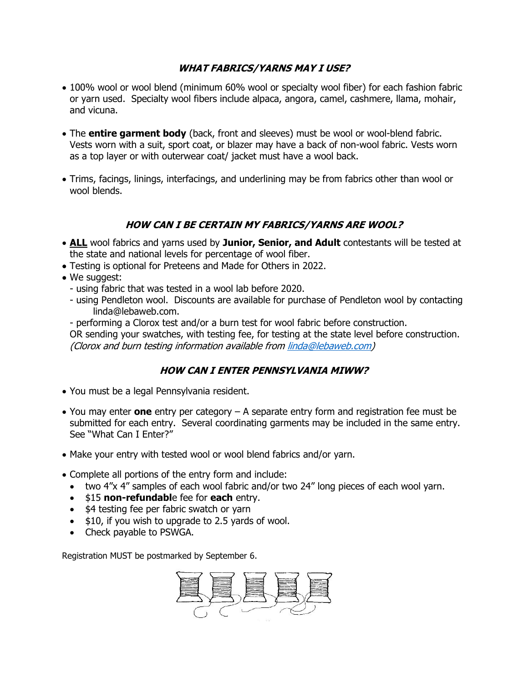#### **WHAT FABRICS/YARNS MAY I USE?**

- 100% wool or wool blend (minimum 60% wool or specialty wool fiber) for each fashion fabric or yarn used. Specialty wool fibers include alpaca, angora, camel, cashmere, llama, mohair, and vicuna.
- The **entire garment body** (back, front and sleeves) must be wool or wool-blend fabric. Vests worn with a suit, sport coat, or blazer may have a back of non-wool fabric. Vests worn as a top layer or with outerwear coat/ jacket must have a wool back.
- Trims, facings, linings, interfacings, and underlining may be from fabrics other than wool or wool blends.

#### **HOW CAN I BE CERTAIN MY FABRICS/YARNS ARE WOOL?**

- **ALL** wool fabrics and yarns used by **Junior, Senior, and Adult** contestants will be tested at the state and national levels for percentage of wool fiber.
- Testing is optional for Preteens and Made for Others in 2022.
- We suggest:
	- using fabric that was tested in a wool lab before 2020.
	- using Pendleton wool. Discounts are available for purchase of Pendleton wool by contacting linda@lebaweb.com.
	- performing a Clorox test and/or a burn test for wool fabric before construction.

OR sending your swatches, with testing fee, for testing at the state level before construction. (Clorox and burn testing information available fro[m linda@lebaweb.com\)](mailto:linda@lebaweb.com)

#### **HOW CAN I ENTER PENNSYLVANIA MIWW?**

- You must be a legal Pennsylvania resident.
- You may enter **one** entry per category A separate entry form and registration fee must be submitted for each entry. Several coordinating garments may be included in the same entry. See "What Can I Enter?"
- Make your entry with tested wool or wool blend fabrics and/or yarn.
- Complete all portions of the entry form and include:
	- two 4"x 4" samples of each wool fabric and/or two 24" long pieces of each wool yarn.
	- \$15 **non-refundabl**e fee for **each** entry.
	- \$4 testing fee per fabric swatch or yarn
	- \$10, if you wish to upgrade to 2.5 yards of wool.
	- Check payable to PSWGA.

Registration MUST be postmarked by September 6.

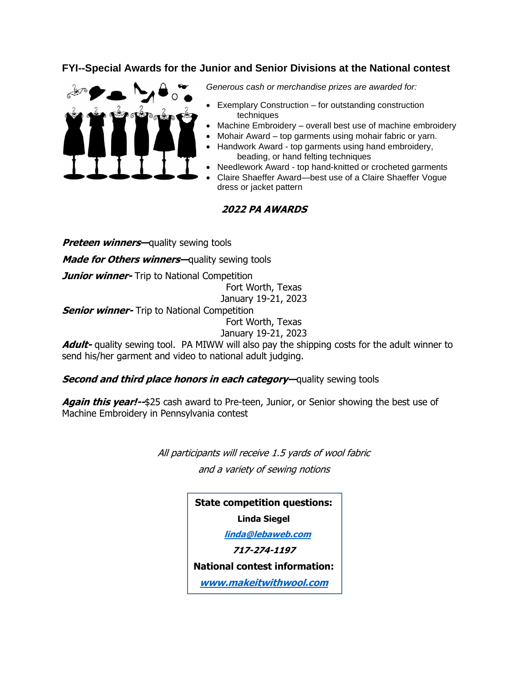#### **FYI--Special Awards for the Junior and Senior Divisions at the National contest**



*Generous cash or merchandise prizes are awarded for:*

- Exemplary Construction for outstanding construction techniques
- Machine Embroidery overall best use of machine embroidery
- Mohair Award top garments using mohair fabric or yarn.
- Handwork Award top garments using hand embroidery, beading, or hand felting techniques
- Needlework Award top hand-knitted or crocheted garments
- Claire Shaeffer Award—best use of a Claire Shaeffer Vogue dress or jacket pattern

#### **2022 PA AWARDS**

**Preteen winners**—quality sewing tools

**Made for Others winners—**quality sewing tools

**Junior winner-** Trip to National Competition

Fort Worth, Texas January 19-21, 2023

**Senior winner-** Trip to National Competition

Fort Worth, Texas

January 19-21, 2023

**Adult-** quality sewing tool. PA MIWW will also pay the shipping costs for the adult winner to send his/her garment and video to national adult judging.

#### **Second and third place honors in each category—**quality sewing tools

**Again this year!--**\$25 cash award to Pre-teen, Junior, or Senior showing the best use of Machine Embroidery in Pennsylvania contest

> All participants will receive 1.5 yards of wool fabric and a variety of sewing notions

> > **State competition questions:**

**Linda Siegel**

 **[linda@lebaweb.com](mailto:linda@lebaweb.com)**

**717-274-1197** 

**National contest information:**

**[www.makeitwithwool.com](http://www.makeitwithwool.com/)**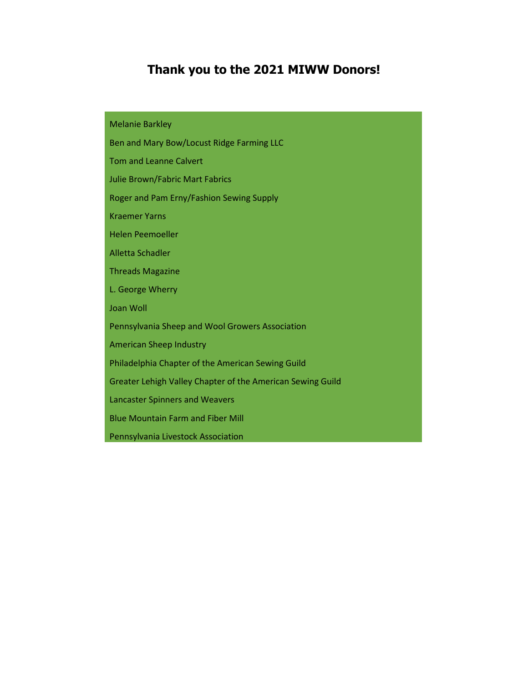# **Thank you to the 2021 MIWW Donors!**

Melanie Barkley

Ben and Mary Bow/Locust Ridge Farming LLC

Tom and Leanne Calvert

Julie Brown/Fabric Mart Fabrics

Roger and Pam Erny/Fashion Sewing Supply

Kraemer Yarns

Helen Peemoeller

Alletta Schadler

Threads Magazine

L. George Wherry

Joan Woll

Pennsylvania Sheep and Wool Growers Association

American Sheep Industry

Philadelphia Chapter of the American Sewing Guild

Greater Lehigh Valley Chapter of the American Sewing Guild

Lancaster Spinners and Weavers

Blue Mountain Farm and Fiber Mill

Pennsylvania Livestock Association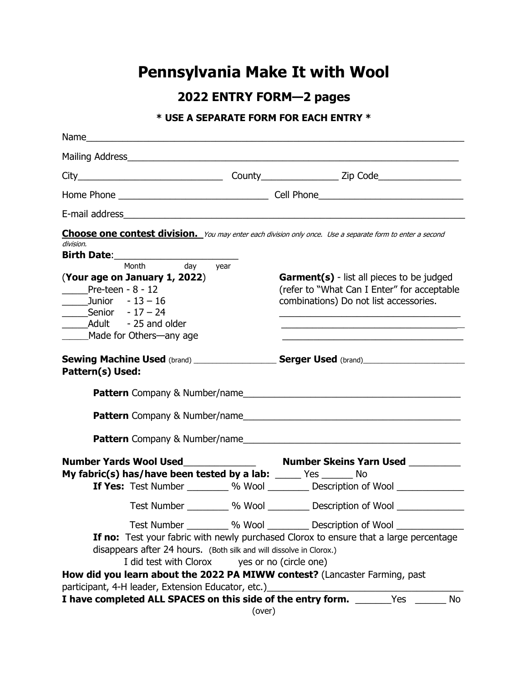# **Pennsylvania Make It with Wool**

**2022 ENTRY FORM—2 pages**

## **\* USE A SEPARATE FORM FOR EACH ENTRY \***

| Mailing Address Management and the Mailing Address                                                                                                                                                                                                                                                                                                                                       |                                                                                                                                                                            |
|------------------------------------------------------------------------------------------------------------------------------------------------------------------------------------------------------------------------------------------------------------------------------------------------------------------------------------------------------------------------------------------|----------------------------------------------------------------------------------------------------------------------------------------------------------------------------|
|                                                                                                                                                                                                                                                                                                                                                                                          |                                                                                                                                                                            |
|                                                                                                                                                                                                                                                                                                                                                                                          |                                                                                                                                                                            |
|                                                                                                                                                                                                                                                                                                                                                                                          |                                                                                                                                                                            |
| Choose one contest division. You may enter each division only once. Use a separate form to enter a second<br>division.<br>Month day<br>year<br>(Your age on January 1, 2022)<br>Pre-teen - $8 - 12$<br>Junior $-13 - 16$<br><b>Senior</b> $-17 - 24$<br>Made for Others—any age<br>Sewing Machine Used (brand) ___________________Serger Used (brand) ______________<br>Pattern(s) Used: | <b>Garment(s)</b> - list all pieces to be judged<br>(refer to "What Can I Enter" for acceptable<br>combinations) Do not list accessories.<br>Pattern Company & Number/name |
|                                                                                                                                                                                                                                                                                                                                                                                          |                                                                                                                                                                            |
| My fabric(s) has/have been tested by a lab: _____ Yes ______ No                                                                                                                                                                                                                                                                                                                          | If Yes: Test Number _________ % Wool _________ Description of Wool _____________                                                                                           |
| Test Number __________ % Wool __________ Description of Wool ___                                                                                                                                                                                                                                                                                                                         | Test Number __________ % Wool __________ Description of Wool ______________                                                                                                |
| disappears after 24 hours. (Both silk and will dissolve in Clorox.)<br>I did test with Clorox yes or no (circle one)<br>How did you learn about the 2022 PA MIWW contest? (Lancaster Farming, past<br>participant, 4-H leader, Extension Educator, etc.)                                                                                                                                 | If no: Test your fabric with newly purchased Clorox to ensure that a large percentage                                                                                      |
| I have completed ALL SPACES on this side of the entry form. _______Yes ____<br>(over)                                                                                                                                                                                                                                                                                                    | No                                                                                                                                                                         |